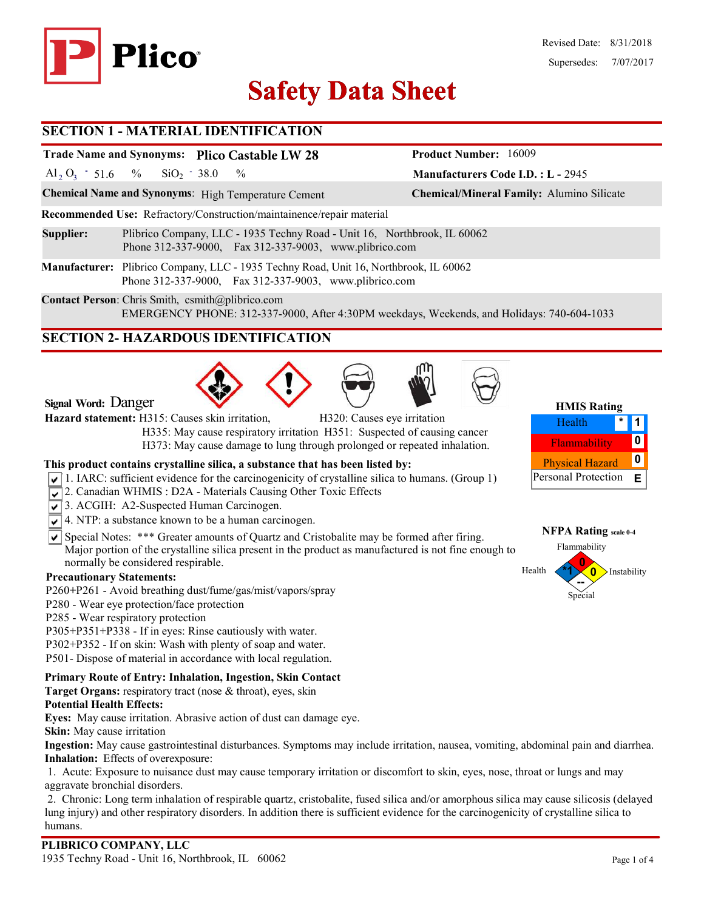

# **Safety Data Sheet Safety Data**

### **SECTION 1 - MATERIAL IDENTIFICATION**

### **Trade Name and Synonyms: Plico Castable LW 28**

Al<sub>2</sub> O<sub>3</sub> - 51.6 % SiO<sub>2</sub> - 38.0 %  $SiO<sub>2</sub> - 38.0$ 

**Chemical Name and Synonyms**: High Temperature Cement **Chemical/Mineral Family:** Alumino Silicate

**Recommended Use:** Refractory/Construction/maintainence/repair material

**Supplier:** Plibrico Company, LLC - 1935 Techny Road - Unit 16, Northbrook, IL 60062 Phone 312-337-9000, Fax 312-337-9003, www.plibrico.com

**Manufacturer:** Plibrico Company, LLC - 1935 Techny Road, Unit 16, Northbrook, IL 60062 Phone 312-337-9000, Fax 312-337-9003, www.plibrico.com

**Contact Person**: Chris Smith, csmith@plibrico.com EMERGENCY PHONE: 312-337-9000, After 4:30PM weekdays, Weekends, and Holidays: 740-604-1033

### **SECTION 2- HAZARDOUS IDENTIFICATION**







**Manufacturers Code I.D. : L -** 2945

**Product Number:** 16009

| <b>HMIS Rating</b>     |  |   |  |  |  |
|------------------------|--|---|--|--|--|
| Health                 |  |   |  |  |  |
| Flammability           |  | Ω |  |  |  |
| <b>Physical Hazard</b> |  | Ω |  |  |  |
| Personal Protection    |  | E |  |  |  |

**NFPA Rating scale 0-4** Flammability

 $Health$ 

**Signal Word:** Danger

**Hazard statement:** H315: Causes skin irritation, H320: Causes eye irritation

 H335: May cause respiratory irritation H351: Suspected of causing cancer H373: May cause damage to lung through prolonged or repeated inhalation.

### **This product contains crystalline silica, a substance that has been listed by:**

- $\sqrt{1}$ . IARC: sufficient evidence for the carcinogenicity of crystalline silica to humans. (Group 1)
- 2. Canadian WHMIS: D2A Materials Causing Other Toxic Effects
- 3. ACGIH: A2-Suspected Human Carcinogen.
- $\sqrt{\sqrt{4}}$ . NTP: a substance known to be a human carcinogen.
- $\overline{\mathsf{S}}$  Special Notes: \*\*\* Greater amounts of Quartz and Cristobalite may be formed after firing. Major portion of the crystalline silica present in the product as manufactured is not fine enough to normally be considered respirable.

### **Precautionary Statements:**

- P260**+**P261 Avoid breathing dust/fume/gas/mist/vapors/spray
- P280 Wear eye protection/face protection
- P285 Wear respiratory protection
- P305+P351+P338 If in eyes: Rinse cautiously with water.
- P302+P352 If on skin: Wash with plenty of soap and water.
- P501- Dispose of material in accordance with local regulation.

### **Primary Route of Entry: Inhalation, Ingestion, Skin Contact**

**Target Organs:** respiratory tract (nose & throat), eyes, skin

### **Potential Health Effects:**

**Eyes:** May cause irritation. Abrasive action of dust can damage eye.

**Skin:** May cause irritation

**Ingestion:** May cause gastrointestinal disturbances. Symptoms may include irritation, nausea, vomiting, abdominal pain and diarrhea. **Inhalation:** Effects of overexposure:

1. Acute: Exposure to nuisance dust may cause temporary irritation or discomfort to skin, eyes, nose, throat or lungs and may aggravate bronchial disorders.

2. Chronic: Long term inhalation of respirable quartz, cristobalite, fused silica and/or amorphous silica may cause silicosis (delayed lung injury) and other respiratory disorders. In addition there is sufficient evidence for the carcinogenicity of crystalline silica to humans.

**0**

Special **--**

Instability

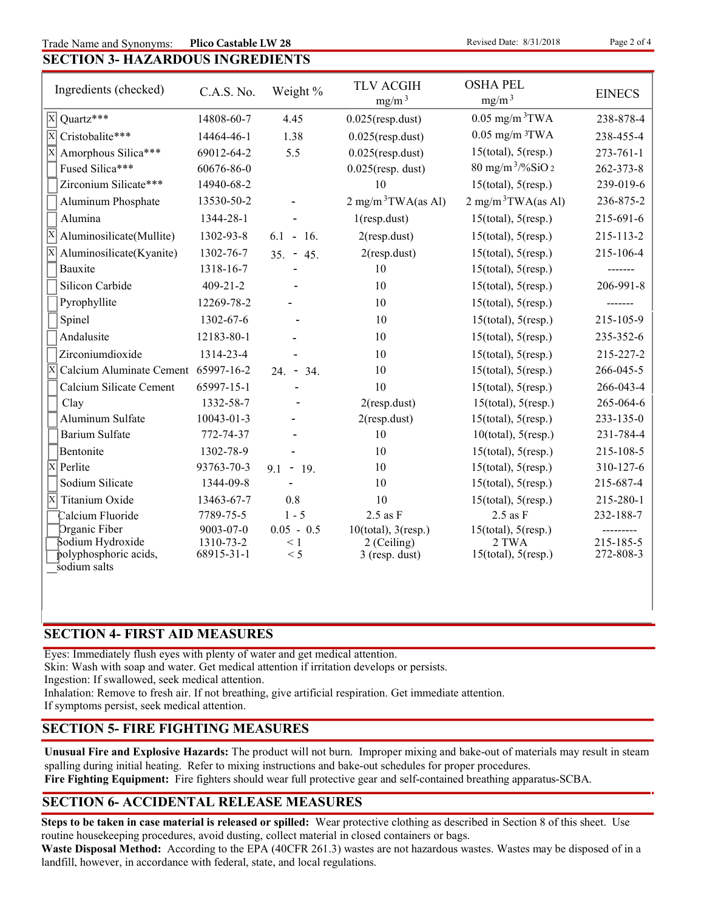### Trade Name and Synonyms: Plico Castable LW 28 Revised Date: 8/31/2018 Page 2 of 4 **Plico Castable LW 28**

## **SECTION 3- HAZARDOUS INGREDIENTS**

| Ingredients (checked)                                          | C.A.S. No.              | Weight %        | <b>TLV ACGIH</b><br>mg/m <sup>3</sup> | <b>OSHA PEL</b><br>mg/m <sup>3</sup> | <b>EINECS</b>          |
|----------------------------------------------------------------|-------------------------|-----------------|---------------------------------------|--------------------------------------|------------------------|
| $\overline{X}$ Quartz***                                       | 14808-60-7              | 4.45            | $0.025$ (resp.dust)                   | $0.05$ mg/m <sup>3</sup> TWA         | 238-878-4              |
| $\overline{X}$<br>Cristobalite***                              | 14464-46-1              | 1.38            | $0.025$ (resp.dust)                   | $0.05$ mg/m $3$ TWA                  | 238-455-4              |
| $\overline{\mathbf{x}}$<br>Amorphous Silica***                 | 69012-64-2              | 5.5             | $0.025$ (resp.dust)                   | $15$ (total), $5$ (resp.)            | $273 - 761 - 1$        |
| Fused Silica***                                                | 60676-86-0              |                 | $0.025$ (resp. dust)                  | $80 \text{ mg/m}^3$ /%SiO 2          | 262-373-8              |
| Zirconium Silicate***                                          | 14940-68-2              |                 | 10                                    | $15$ (total), $5$ (resp.)            | 239-019-6              |
| Aluminum Phosphate                                             | 13530-50-2              |                 | $2 \text{ mg/m}^3$ TWA(as Al)         | $2 \text{ mg/m}^3$ TWA(as Al)        | 236-875-2              |
| Alumina                                                        | 1344-28-1               |                 | $1$ (resp.dust)                       | $15$ (total), $5$ (resp.)            | 215-691-6              |
| $\overline{\mathrm{x}}$<br>Aluminosilicate(Mullite)            | 1302-93-8               | $6.1 - 16.$     | $2$ (resp.dust)                       | $15$ (total), $5$ (resp.)            | 215-113-2              |
| Aluminosilicate(Kyanite)                                       | 1302-76-7               | $35. - 45.$     | $2$ (resp.dust)                       | $15$ (total), $5$ (resp.)            | 215-106-4              |
| Bauxite                                                        | 1318-16-7               |                 | 10                                    | $15$ (total), $5$ (resp.)            | -------                |
| Silicon Carbide                                                | $409 - 21 - 2$          |                 | 10                                    | $15$ (total), $5$ (resp.)            | 206-991-8              |
| Pyrophyllite                                                   | 12269-78-2              |                 | 10                                    | $15$ (total), $5$ (resp.)            |                        |
| Spinel                                                         | 1302-67-6               |                 | 10                                    | $15$ (total), $5$ (resp.)            | 215-105-9              |
| Andalusite                                                     | 12183-80-1              |                 | 10                                    | $15$ (total), $5$ (resp.)            | 235-352-6              |
| Zirconiumdioxide                                               | 1314-23-4               |                 | 10                                    | $15$ (total), $5$ (resp.)            | 215-227-2              |
| $\overline{\mathrm{X}}$<br>Calcium Aluminate Cement 65997-16-2 |                         | $24. - 34.$     | 10                                    | $15$ (total), $5$ (resp.)            | 266-045-5              |
| Calcium Silicate Cement                                        | 65997-15-1              |                 | 10                                    | $15$ (total), $5$ (resp.)            | 266-043-4              |
| Clay                                                           | 1332-58-7               |                 | $2$ (resp.dust)                       | $15$ (total), $5$ (resp.)            | 265-064-6              |
| Aluminum Sulfate                                               | $10043 - 01 - 3$        |                 | $2$ (resp.dust)                       | $15$ (total), $5$ (resp.)            | 233-135-0              |
| <b>Barium Sulfate</b>                                          | 772-74-37               |                 | 10                                    | $10$ (total), $5$ (resp.)            | 231-784-4              |
| Bentonite                                                      | 1302-78-9               |                 | 10                                    | $15$ (total), $5$ (resp.)            | 215-108-5              |
| X<br>Perlite                                                   | 93763-70-3              | $9.1 - 19.$     | 10                                    | $15$ (total), $5$ (resp.)            | 310-127-6              |
| Sodium Silicate                                                | 1344-09-8               |                 | 10                                    | $15$ (total), $5$ (resp.)            | 215-687-4              |
| ΙX<br>Titanium Oxide                                           | 13463-67-7              | 0.8             | 10                                    | $15$ (total), $5$ (resp.)            | 215-280-1              |
| Calcium Fluoride                                               | 7789-75-5               | $1 - 5$         | $2.5$ as $\rm F$                      | $2.5$ as $F$                         | 232-188-7              |
| Organic Fiber                                                  | $9003 - 07 - 0$         | $0.05 - 0.5$    | $10$ (total), $3$ (resp.)             | $15$ (total), $5$ (resp.)            |                        |
| Sodium Hydroxide<br>polyphosphoric acids,                      | 1310-73-2<br>68915-31-1 | $\leq 1$<br>< 5 | 2 (Ceiling)<br>$3$ (resp. dust)       | $2$ TWA<br>$15$ (total), $5$ (resp.) | 215-185-5<br>272-808-3 |
| sodium salts                                                   |                         |                 |                                       |                                      |                        |

### **SECTION 4- FIRST AID MEASURES**

Eyes: Immediately flush eyes with plenty of water and get medical attention.

Skin: Wash with soap and water. Get medical attention if irritation develops or persists.

Ingestion: If swallowed, seek medical attention.

Inhalation: Remove to fresh air. If not breathing, give artificial respiration. Get immediate attention.

If symptoms persist, seek medical attention.

### **SECTION 5- FIRE FIGHTING MEASURES**

**Unusual Fire and Explosive Hazards:** The product will not burn. Improper mixing and bake-out of materials may result in steam spalling during initial heating. Refer to mixing instructions and bake-out schedules for proper procedures.

**Fire Fighting Equipment:** Fire fighters should wear full protective gear and self-contained breathing apparatus-SCBA.

### **SECTION 6- ACCIDENTAL RELEASE MEASURES**

**Steps to be taken in case material is released or spilled:** Wear protective clothing as described in Section 8 of this sheet. Use routine housekeeping procedures, avoid dusting, collect material in closed containers or bags.

**Waste Disposal Method:** According to the EPA (40CFR 261.3) wastes are not hazardous wastes. Wastes may be disposed of in a landfill, however, in accordance with federal, state, and local regulations.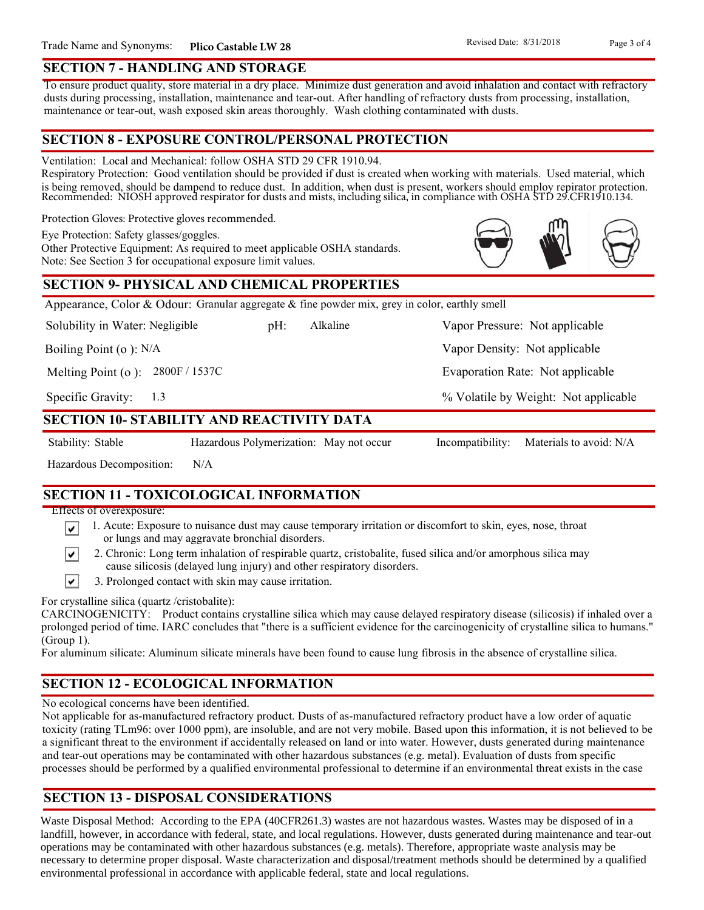### **SECTION 7 - HANDLING AND STORAGE**

To ensure product quality, store material in a dry place. Minimize dust generation and avoid inhalation and contact with refractory dusts during processing, installation, maintenance and tear-out. After handling of refractory dusts from processing, installation, maintenance or tear-out, wash exposed skin areas thoroughly. Wash clothing contaminated with dusts.

### **SECTION 8 - EXPOSURE CONTROL/PERSONAL PROTECTION**

Ventilation: Local and Mechanical: follow OSHA STD 29 CFR 1910.94.

Respiratory Protection: Good ventilation should be provided if dust is created when working with materials. Used material, which is being removed, should be dampend to reduce dust. In addition, when dust is present, workers should employ repirator protection. Recommended: NIOSH approved respirator for dusts and mists, including silica, in compliance with OSHA STD 29.CFR1910.134.

Protection Gloves: Protective gloves recommended.

Eye Protection: Safety glasses/goggles.

Other Protective Equipment: As required to meet applicable OSHA standards. Note: See Section 3 for occupational exposure limit values.

### **SECTION 9- PHYSICAL AND CHEMICAL PROPERTIES**

Appearance, Color & Odour: Granular aggregate  $\&$  fine powder mix, grey in color, earthly smell

Solubility in Water: Negligible

pH: Alkaline Vapor Pressure: Not applicable Alkaline

Boiling Point (o ): N/A

Melting Point (o ): 2800F / 1537C

1.3 Specific Gravity:

### **SECTION 10- STABILITY AND REACTIVITY DATA**

∣V∣

∣V∣

Stability: Stable Hazardous Polymerization: May not occur Incompatibility: Materials to avoid: N/A

Hazardous Decomposition: N/A

### **SECTION 11 - TOXICOLOGICAL INFORMATION**

Effects of overexposure:

- 1. Acute: Exposure to nuisance dust may cause temporary irritation or discomfort to skin, eyes, nose, throat or lungs and may aggravate bronchial disorders.
- 2. Chronic: Long term inhalation of respirable quartz, cristobalite, fused silica and/or amorphous silica may cause silicosis (delayed lung injury) and other respiratory disorders.
- $\vert\mathbf{v}\vert$ 3. Prolonged contact with skin may cause irritation.

For crystalline silica (quartz /cristobalite):

CARCINOGENICITY: Product contains crystalline silica which may cause delayed respiratory disease (silicosis) if inhaled over a prolonged period of time. IARC concludes that "there is a sufficient evidence for the carcinogenicity of crystalline silica to humans." (Group 1).

For aluminum silicate: Aluminum silicate minerals have been found to cause lung fibrosis in the absence of crystalline silica.

### **SECTION 12 - ECOLOGICAL INFORMATION**

No ecological concerns have been identified.

Not applicable for as-manufactured refractory product. Dusts of as-manufactured refractory product have a low order of aquatic toxicity (rating TLm96: over 1000 ppm), are insoluble, and are not very mobile. Based upon this information, it is not believed to be a significant threat to the environment if accidentally released on land or into water. However, dusts generated during maintenance and tear-out operations may be contaminated with other hazardous substances (e.g. metal). Evaluation of dusts from specific processes should be performed by a qualified environmental professional to determine if an environmental threat exists in the case

### **SECTION 13 - DISPOSAL CONSIDERATIONS**

Waste Disposal Method: According to the EPA (40CFR261.3) wastes are not hazardous wastes. Wastes may be disposed of in a landfill, however, in accordance with federal, state, and local regulations. However, dusts generated during maintenance and tear-out operations may be contaminated with other hazardous substances (e.g. metals). Therefore, appropriate waste analysis may be necessary to determine proper disposal. Waste characterization and disposal/treatment methods should be determined by a qualified environmental professional in accordance with applicable federal, state and local regulations.



Vapor Density: Not applicable

Evaporation Rate: Not applicable

% Volatile by Weight: Not applicable